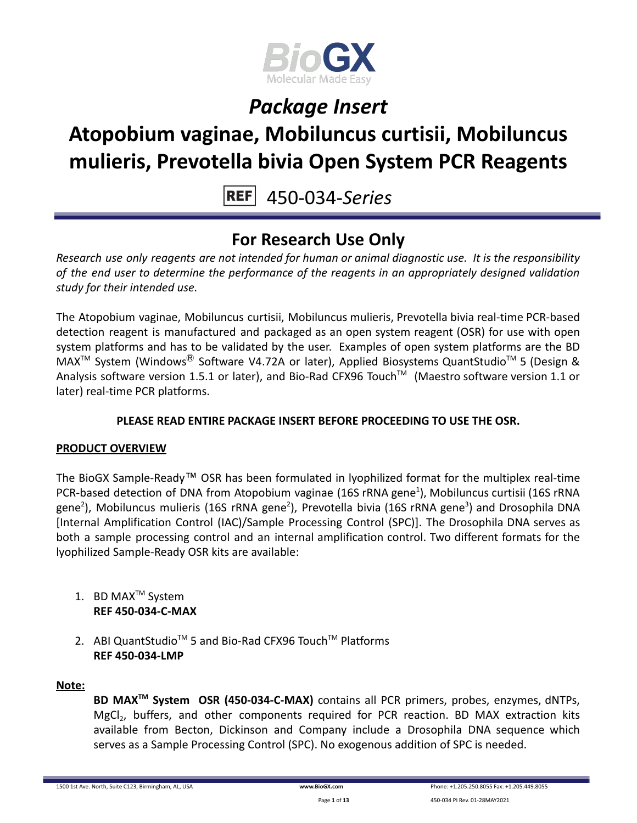

# **Atopobium vaginae, Mobiluncus curtisii, Mobiluncus mulieris, Prevotella bivia Open System PCR Reagents**

450-034-*Series*

### **For Research Use Only**

*Research use only reagents are not intended for human or animal diagnostic use. It is the responsibility of the end user to determine the performance of the reagents in an appropriately designed validation study for their intended use.*

The Atopobium vaginae, Mobiluncus curtisii, Mobiluncus mulieris, Prevotella bivia real-time PCR-based detection reagent is manufactured and packaged as an open system reagent (OSR) for use with open system platforms and has to be validated by the user. Examples of open system platforms are the BD MAX<sup>™</sup> System (Windows<sup>®</sup> Software V4.72A or later), Applied Biosystems QuantStudio<sup>™</sup> 5 (Design & Analysis software version 1.5.1 or later), and Bio-Rad CFX96 Touch™ (Maestro software version 1.1 or later) real-time PCR platforms.

### **PLEASE READ ENTIRE PACKAGE INSERT BEFORE PROCEEDING TO USE THE OSR.**

### **PRODUCT OVERVIEW**

The BioGX Sample-Ready™ OSR has been formulated in lyophilized format for the multiplex real-time PCR-based detection of DNA from Atopobium vaginae (16S rRNA gene<sup>1</sup>), Mobiluncus curtisii (16S rRNA gene<sup>2</sup>), Mobiluncus mulieris (16S rRNA gene<sup>2</sup>), Prevotella bivia (16S rRNA gene<sup>3</sup>) and Drosophila DNA [Internal Amplification Control (IAC)/Sample Processing Control (SPC)]. The Drosophila DNA serves as both a sample processing control and an internal amplification control. Two different formats for the lyophilized Sample-Ready OSR kits are available:

- 1. BD MAX<sup>™</sup> System **REF 450-034-C-MAX**
- 2. ABI QuantStudio<sup>™</sup> 5 and Bio-Rad CFX96 Touch™ Platforms **REF 450-034-LMP**

#### **Note:**

**BD MAXTM System OSR (450-034-C-MAX)** contains all PCR primers, probes, enzymes, dNTPs, MgCl<sub>2</sub>, buffers, and other components required for PCR reaction. BD MAX extraction kits available from Becton, Dickinson and Company include a Drosophila DNA sequence which serves as a Sample Processing Control (SPC). No exogenous addition of SPC is needed.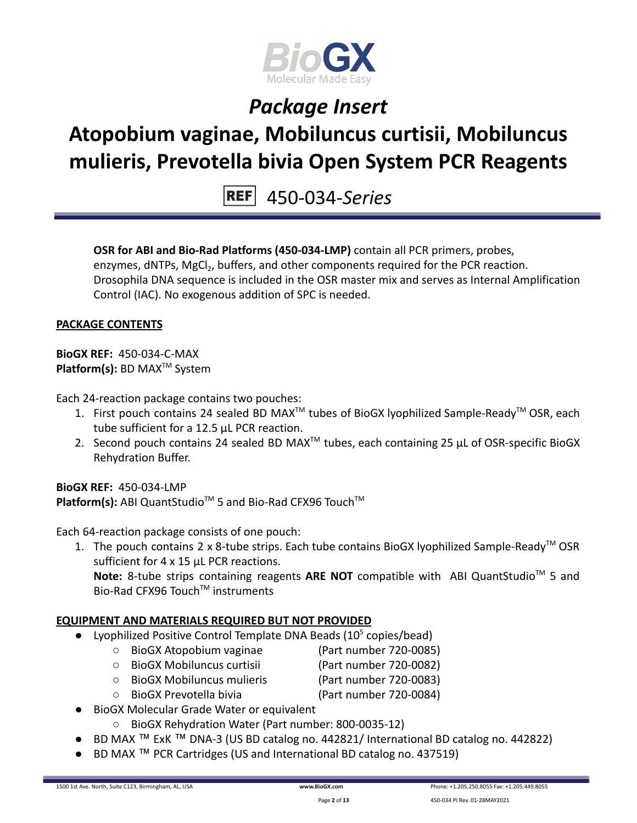

### **Atopobium vaginae, Mobiluncus curtisii, Mobiluncus mulieris, Prevotella bivia Open System PCR Reagents**

450-034-*Series*

**OSR for ABI and Bio-Rad Platforms (450-034-LMP)** contain all PCR primers, probes, enzymes, dNTPs, MgCl<sub>2</sub>, buffers, and other components required for the PCR reaction. Drosophila DNA sequence is included in the OSR master mix and serves as Internal Amplification Control (IAC). No exogenous addition of SPC is needed.

#### **PACKAGE CONTENTS**

**BioGX REF:** 450-034-C-MAX **Platform(s):** BD MAX<sup>™</sup> System

Each 24-reaction package contains two pouches:

- 1. First pouch contains 24 sealed BD MAX<sup>™</sup> tubes of BioGX lyophilized Sample-Ready<sup>™</sup> OSR, each tube sufficient for a 12.5 µL PCR reaction.
- 2. Second pouch contains 24 sealed BD MAX<sup>™</sup> tubes, each containing 25  $\mu$ L of OSR-specific BioGX Rehydration Buffer.

**BioGX REF:** 450-034-LMP Platform(s): ABI QuantStudio<sup>™</sup> 5 and Bio-Rad CFX96 Touch<sup>™</sup>

Each 64-reaction package consists of one pouch:

1. The pouch contains 2 x 8-tube strips. Each tube contains BioGX lyophilized Sample-Ready<sup>™</sup> OSR sufficient for 4 x 15 uL PCR reactions. Note: 8-tube strips containing reagents ARE NOT compatible with ABI QuantStudio<sup>™</sup> 5 and Bio-Rad CFX96 Touch™ instruments

### **EQUIPMENT AND MATERIALS REQUIRED BUT NOT PROVIDED**

- Lyophilized Positive Control Template DNA Beads  $(10^5 \text{ copies/head})$ 
	- BioGX Atopobium vaginae (Part number 720-0085)
	- BioGX Mobiluncus curtisii (Part number 720-0082)
	- BioGX Mobiluncus mulieris (Part number 720-0083)
	- BioGX Prevotella bivia (Part number 720-0084)
- BioGX Molecular Grade Water or equivalent
	- BioGX Rehydration Water (Part number: 800-0035-12)
- BD MAX ™ ExK ™ DNA-3 (US BD catalog no. 442821/ International BD catalog no. 442822)
- BD MAX ™ PCR Cartridges (US and International BD catalog no. 437519)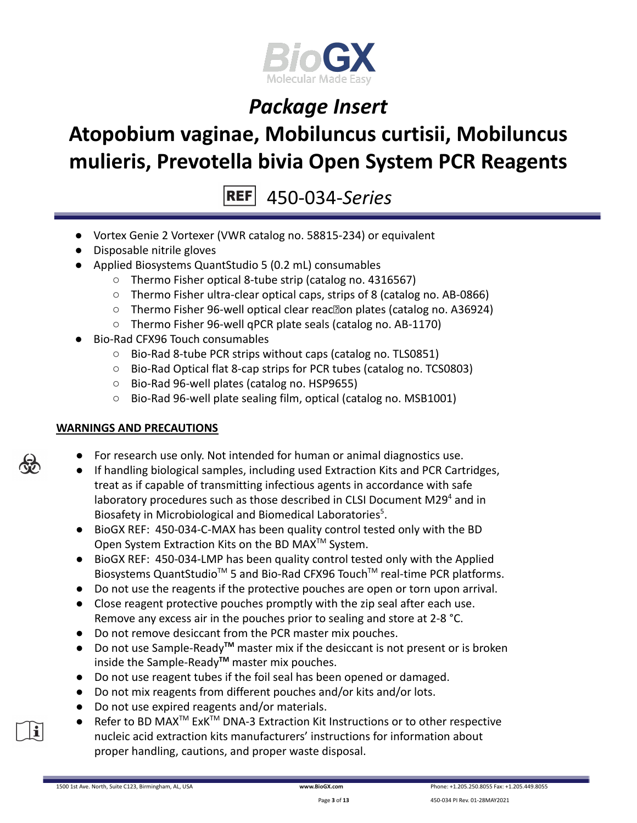

# **Atopobium vaginae, Mobiluncus curtisii, Mobiluncus mulieris, Prevotella bivia Open System PCR Reagents**

450-034-*Series*

- Vortex Genie 2 Vortexer (VWR catalog no. 58815-234) or equivalent
- Disposable nitrile gloves
- Applied Biosystems QuantStudio 5 (0.2 mL) consumables
	- Thermo Fisher optical 8-tube strip (catalog no. 4316567)
	- Thermo Fisher ultra-clear optical caps, strips of 8 (catalog no. AB-0866)
	- Thermo Fisher 96-well optical clear reac<br>
	<sub>[2010</sub>] plates (catalog no. A36924)
	- Thermo Fisher 96-well qPCR plate seals (catalog no. AB-1170)
- Bio-Rad CFX96 Touch consumables
	- Bio-Rad 8-tube PCR strips without caps (catalog no. TLS0851)
	- Bio-Rad Optical flat 8-cap strips for PCR tubes (catalog no. TCS0803)
	- Bio-Rad 96-well plates (catalog no. HSP9655)
	- Bio-Rad 96-well plate sealing film, optical (catalog no. MSB1001)

### **WARNINGS AND PRECAUTIONS**

- For research use only. Not intended for human or animal diagnostics use.
- If handling biological samples, including used Extraction Kits and PCR Cartridges, treat as if capable of transmitting infectious agents in accordance with safe laboratory procedures such as those described in CLSI Document M29 $4$  and in Biosafety in Microbiological and Biomedical Laboratories<sup>5</sup>.
- BioGX REF: 450-034-C-MAX has been quality control tested only with the BD Open System Extraction Kits on the BD MAX<sup>™</sup> System.
- BioGX REF: 450-034-LMP has been quality control tested only with the Applied Biosystems QuantStudio<sup>™</sup> 5 and Bio-Rad CFX96 Touch<sup>™</sup> real-time PCR platforms.
- Do not use the reagents if the protective pouches are open or torn upon arrival.
- Close reagent protective pouches promptly with the zip seal after each use. Remove any excess air in the pouches prior to sealing and store at 2-8 °C.
- Do not remove desiccant from the PCR master mix pouches.
- Do not use Sample-Ready**TM** master mix if the desiccant is not present or is broken inside the Sample-Ready**TM** master mix pouches.
- Do not use reagent tubes if the foil seal has been opened or damaged.
- Do not mix reagents from different pouches and/or kits and/or lots.
- Do not use expired reagents and/or materials.
- Refer to BD MAX<sup>™</sup> ExK<sup>™</sup> DNA-3 Extraction Kit Instructions or to other respective nucleic acid extraction kits manufacturers' instructions for information about proper handling, cautions, and proper waste disposal.



il

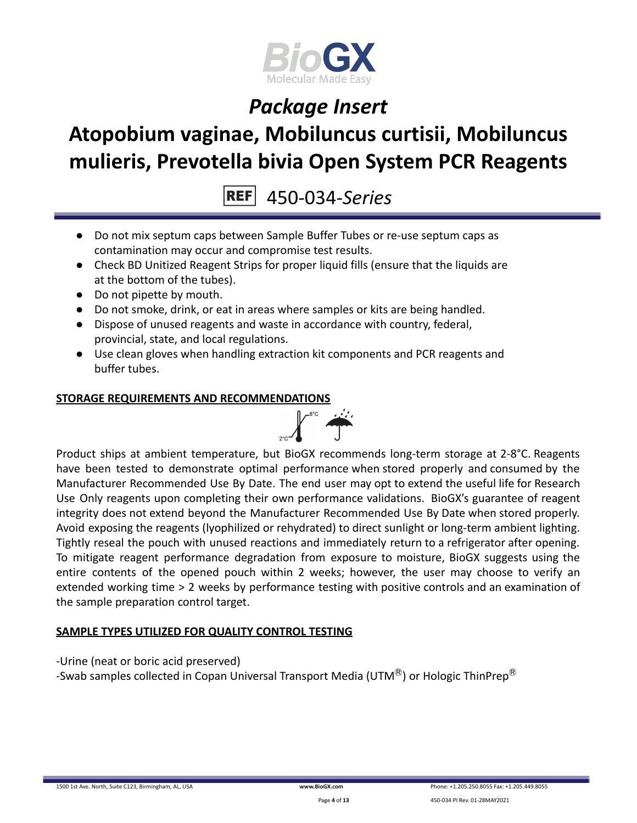

### **Atopobium vaginae, Mobiluncus curtisii, Mobiluncus mulieris, Prevotella bivia Open System PCR Reagents**

450-034-*Series*

- Do not mix septum caps between Sample Buffer Tubes or re-use septum caps as contamination may occur and compromise test results.
- Check BD Unitized Reagent Strips for proper liquid fills (ensure that the liquids are at the bottom of the tubes).
- Do not pipette by mouth.
- Do not smoke, drink, or eat in areas where samples or kits are being handled.
- Dispose of unused reagents and waste in accordance with country, federal, provincial, state, and local regulations.
- Use clean gloves when handling extraction kit components and PCR reagents and buffer tubes.

#### **STORAGE REQUIREMENTS AND RECOMMENDATIONS**



Product ships at ambient temperature, but BioGX recommends long-term storage at 2-8°C. Reagents have been tested to demonstrate optimal performance when stored properly and consumed by the Manufacturer Recommended Use By Date. The end user may opt to extend the useful life for Research Use Only reagents upon completing their own performance validations. BioGX's guarantee of reagent integrity does not extend beyond the Manufacturer Recommended Use By Date when stored properly. Avoid exposing the reagents (lyophilized or rehydrated) to direct sunlight or long-term ambient lighting. Tightly reseal the pouch with unused reactions and immediately return to a refrigerator after opening. To mitigate reagent performance degradation from exposure to moisture, BioGX suggests using the entire contents of the opened pouch within 2 weeks; however, the user may choose to verify an extended working time > 2 weeks by performance testing with positive controls and an examination of the sample preparation control target.

### **SAMPLE TYPES UTILIZED FOR QUALITY CONTROL TESTING**

-Urine (neat or boric acid preserved)

-Swab samples collected in Copan Universal Transport Media (UTM $^{\circledR}$ ) or Hologic ThinPrep $^{\circledR}$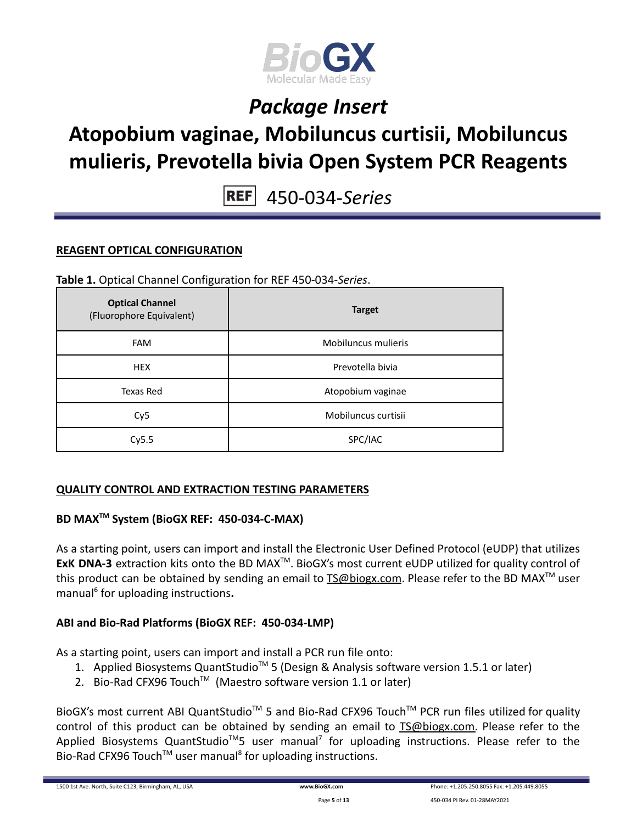

### **Atopobium vaginae, Mobiluncus curtisii, Mobiluncus mulieris, Prevotella bivia Open System PCR Reagents**

450-034-*Series*

#### **REAGENT OPTICAL CONFIGURATION**

#### **Table 1.** Optical Channel Configuration for REF 450-034-*Series*.

| <b>Optical Channel</b><br>(Fluorophore Equivalent) | <b>Target</b>       |
|----------------------------------------------------|---------------------|
| <b>FAM</b>                                         | Mobiluncus mulieris |
| <b>HEX</b>                                         | Prevotella bivia    |
| Texas Red                                          | Atopobium vaginae   |
| Cy <sub>5</sub>                                    | Mobiluncus curtisii |
| Cy5.5                                              | SPC/IAC             |

#### **QUALITY CONTROL AND EXTRACTION TESTING PARAMETERS**

### **BD MAXTM System (BioGX REF: 450-034-C-MAX)**

As a starting point, users can import and install the Electronic User Defined Protocol (eUDP) that utilizes ExK DNA-3 extraction kits onto the BD MAX<sup>™</sup>. BioGX's most current eUDP utilized for quality control of this product can be obtained by sending an email to **[TS@biogx.com](mailto:TS@biogx.com)**. Please refer to the BD MAX<sup>™</sup> user manual<sup>6</sup> for uploading instructions**.**

### **ABI and Bio-Rad Platforms (BioGX REF: 450-034-LMP)**

As a starting point, users can import and install a PCR run file onto:

- 1. Applied Biosystems QuantStudio<sup>™</sup> 5 (Design & Analysis software version 1.5.1 or later)
- 2. Bio-Rad CFX96 Touch<sup>™</sup> (Maestro software version 1.1 or later)

BioGX's most current ABI QuantStudio<sup>™</sup> 5 and Bio-Rad CFX96 Touch<sup>™</sup> PCR run files utilized for quality control of this product can be obtained by sending an email to [TS@biogx.com.](mailto:TS@biogx.com) Please refer to the Applied Biosystems QuantStudio<sup>™</sup>5 user manual<sup>7</sup> for uploading instructions. Please refer to the Bio-Rad CFX96 Touch<sup>™</sup> user manual<sup>8</sup> for uploading instructions.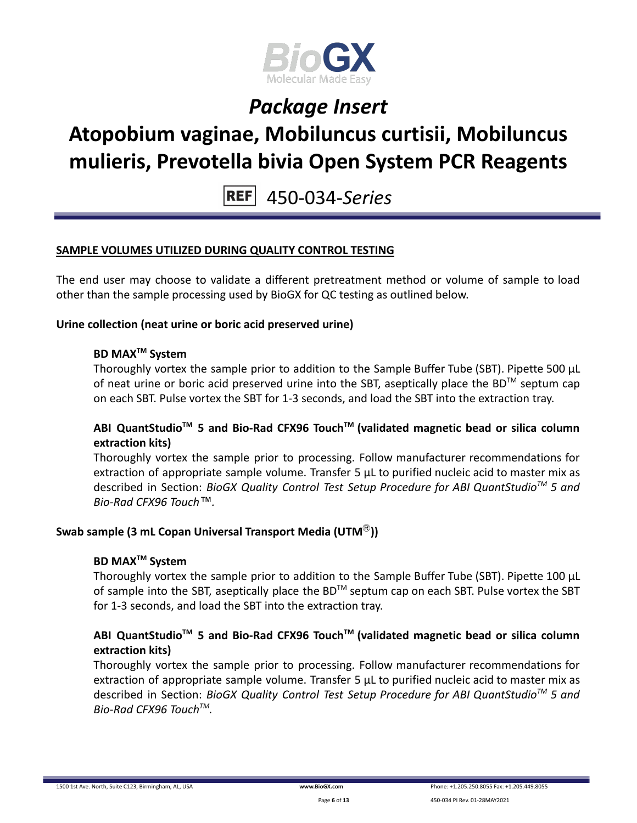

### **Atopobium vaginae, Mobiluncus curtisii, Mobiluncus mulieris, Prevotella bivia Open System PCR Reagents**

450-034-*Series*

#### **SAMPLE VOLUMES UTILIZED DURING QUALITY CONTROL TESTING**

The end user may choose to validate a different pretreatment method or volume of sample to load other than the sample processing used by BioGX for QC testing as outlined below.

#### **Urine collection (neat urine or boric acid preserved urine)**

### **BD MAXTM System**

Thoroughly vortex the sample prior to addition to the Sample Buffer Tube (SBT). Pipette 500 μL of neat urine or boric acid preserved urine into the SBT, aseptically place the BD<sup>TM</sup> septum cap on each SBT. Pulse vortex the SBT for 1-3 seconds, and load the SBT into the extraction tray.

### **ABI QuantStudioTM 5 and Bio-Rad CFX96 TouchTM (validated magnetic bead or silica column extraction kits)**

Thoroughly vortex the sample prior to processing. Follow manufacturer recommendations for extraction of appropriate sample volume. Transfer 5 μL to purified nucleic acid to master mix as described in Section: *BioGX Quality Control Test Setup Procedure for ABI QuantStudioTM 5 and Bio-Rad CFX96 Touch™.*

### **Swab sample (3 mL Copan Universal Transport Media (UTM**Ⓡ**))**

#### **BD MAXTM System**

Thoroughly vortex the sample prior to addition to the Sample Buffer Tube (SBT). Pipette 100 μL of sample into the SBT, aseptically place the BD<sup>TM</sup> septum cap on each SBT. Pulse vortex the SBT for 1-3 seconds, and load the SBT into the extraction tray.

### **ABI QuantStudioTM 5 and Bio-Rad CFX96 TouchTM (validated magnetic bead or silica column extraction kits)**

Thoroughly vortex the sample prior to processing. Follow manufacturer recommendations for extraction of appropriate sample volume. Transfer 5 μL to purified nucleic acid to master mix as described in Section: *BioGX Quality Control Test Setup Procedure for ABI QuantStudioTM 5 and Bio-Rad CFX96 TouchTM .*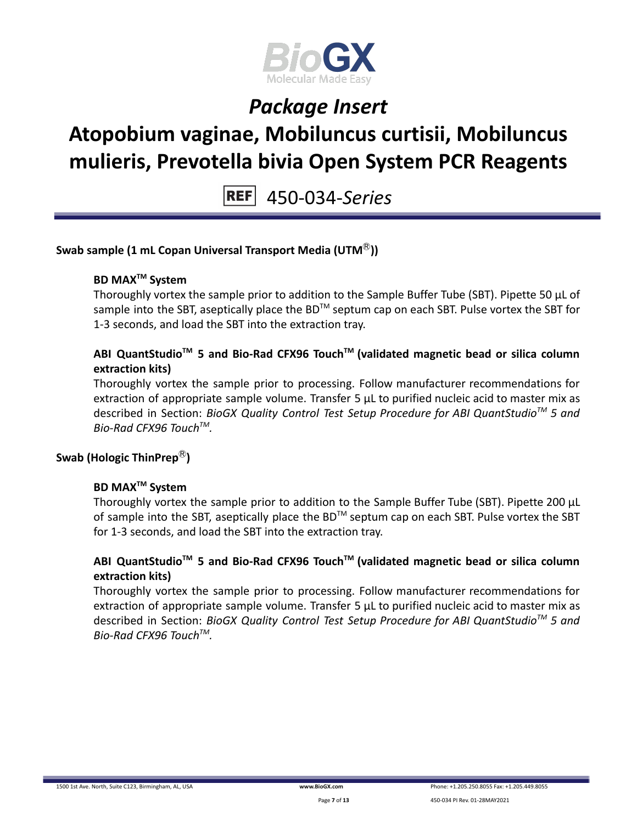

# **Atopobium vaginae, Mobiluncus curtisii, Mobiluncus mulieris, Prevotella bivia Open System PCR Reagents**

450-034-*Series*

#### **Swab sample (1 mL Copan Universal Transport Media (UTM**Ⓡ**))**

### **BD MAXTM System**

Thoroughly vortex the sample prior to addition to the Sample Buffer Tube (SBT). Pipette 50 μL of sample into the SBT, aseptically place the BD<sup>™</sup> septum cap on each SBT. Pulse vortex the SBT for 1-3 seconds, and load the SBT into the extraction tray.

### **ABI QuantStudioTM 5 and Bio-Rad CFX96 TouchTM (validated magnetic bead or silica column extraction kits)**

Thoroughly vortex the sample prior to processing. Follow manufacturer recommendations for extraction of appropriate sample volume. Transfer 5 μL to purified nucleic acid to master mix as described in Section: *BioGX Quality Control Test Setup Procedure for ABI QuantStudioTM 5 and Bio-Rad CFX96 TouchTM .*

### **Swab (Hologic ThinPrep**Ⓡ**)**

### **BD MAXTM System**

Thoroughly vortex the sample prior to addition to the Sample Buffer Tube (SBT). Pipette 200 μL of sample into the SBT, aseptically place the BD<sup>TM</sup> septum cap on each SBT. Pulse vortex the SBT for 1-3 seconds, and load the SBT into the extraction tray.

#### **ABI QuantStudioTM 5 and Bio-Rad CFX96 TouchTM (validated magnetic bead or silica column extraction kits)**

Thoroughly vortex the sample prior to processing. Follow manufacturer recommendations for extraction of appropriate sample volume. Transfer 5 μL to purified nucleic acid to master mix as described in Section: *BioGX Quality Control Test Setup Procedure for ABI QuantStudioTM 5 and Bio-Rad CFX96 TouchTM .*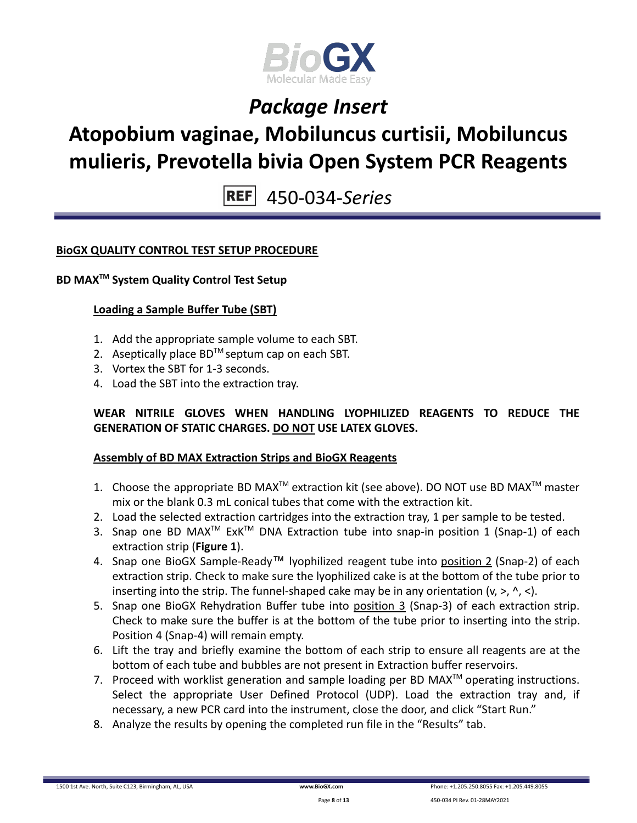

### **Atopobium vaginae, Mobiluncus curtisii, Mobiluncus mulieris, Prevotella bivia Open System PCR Reagents**

450-034-*Series*

#### **BioGX QUALITY CONTROL TEST SETUP PROCEDURE**

#### **BD MAXTM System Quality Control Test Setup**

#### **Loading a Sample Buffer Tube (SBT)**

- 1. Add the appropriate sample volume to each SBT.
- 2. Aseptically place  $BD^{TM}$  septum cap on each SBT.
- 3. Vortex the SBT for 1-3 seconds.
- 4. Load the SBT into the extraction tray.

#### **WEAR NITRILE GLOVES WHEN HANDLING LYOPHILIZED REAGENTS TO REDUCE THE GENERATION OF STATIC CHARGES. DO NOT USE LATEX GLOVES.**

#### **Assembly of BD MAX Extraction Strips and BioGX Reagents**

- 1. Choose the appropriate BD MAX<sup>TM</sup> extraction kit (see above). DO NOT use BD MAX<sup>TM</sup> master mix or the blank 0.3 mL conical tubes that come with the extraction kit.
- 2. Load the selected extraction cartridges into the extraction tray, 1 per sample to be tested.
- 3. Snap one BD MAX<sup>™</sup> ExK<sup>™</sup> DNA Extraction tube into snap-in position 1 (Snap-1) of each extraction strip (**Figure 1**).
- 4. Snap one BioGX Sample-Ready™ lyophilized reagent tube into position 2 (Snap-2) of each extraction strip. Check to make sure the lyophilized cake is at the bottom of the tube prior to inserting into the strip. The funnel-shaped cake may be in any orientation  $(v, >, \land, <)$ .
- 5. Snap one BioGX Rehydration Buffer tube into position 3 (Snap-3) of each extraction strip. Check to make sure the buffer is at the bottom of the tube prior to inserting into the strip. Position 4 (Snap-4) will remain empty.
- 6. Lift the tray and briefly examine the bottom of each strip to ensure all reagents are at the bottom of each tube and bubbles are not present in Extraction buffer reservoirs.
- 7. Proceed with worklist generation and sample loading per BD MAX $^{TM}$  operating instructions. Select the appropriate User Defined Protocol (UDP). Load the extraction tray and, if necessary, a new PCR card into the instrument, close the door, and click "Start Run."
- 8. Analyze the results by opening the completed run file in the "Results" tab.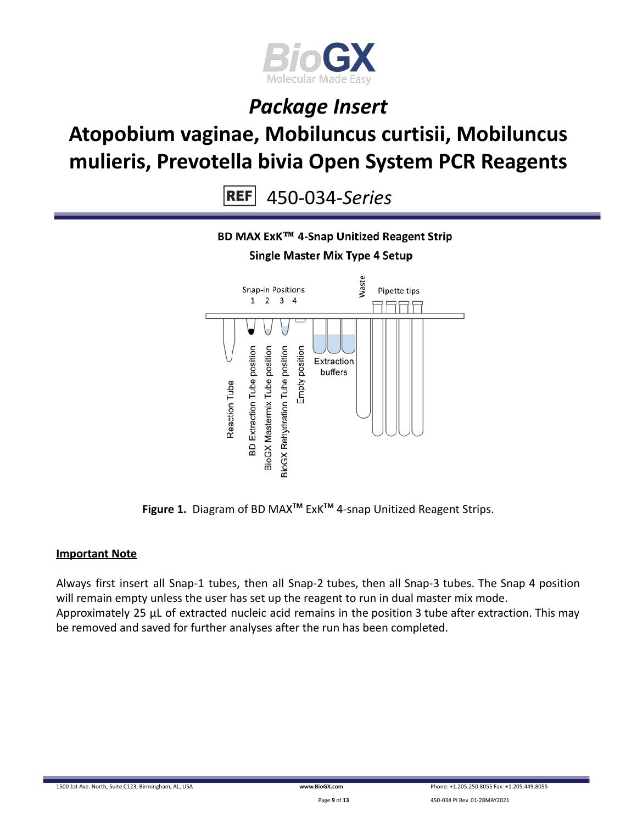

### **Atopobium vaginae, Mobiluncus curtisii, Mobiluncus mulieris, Prevotella bivia Open System PCR Reagents**

450-034-*Series* **REF** 



**Figure 1.** Diagram of BD MAX**TM** ExK**TM** 4-snap Unitized Reagent Strips.

### **Important Note**

Always first insert all Snap-1 tubes, then all Snap-2 tubes, then all Snap-3 tubes. The Snap 4 position will remain empty unless the user has set up the reagent to run in dual master mix mode. Approximately 25 µL of extracted nucleic acid remains in the position 3 tube after extraction. This may be removed and saved for further analyses after the run has been completed.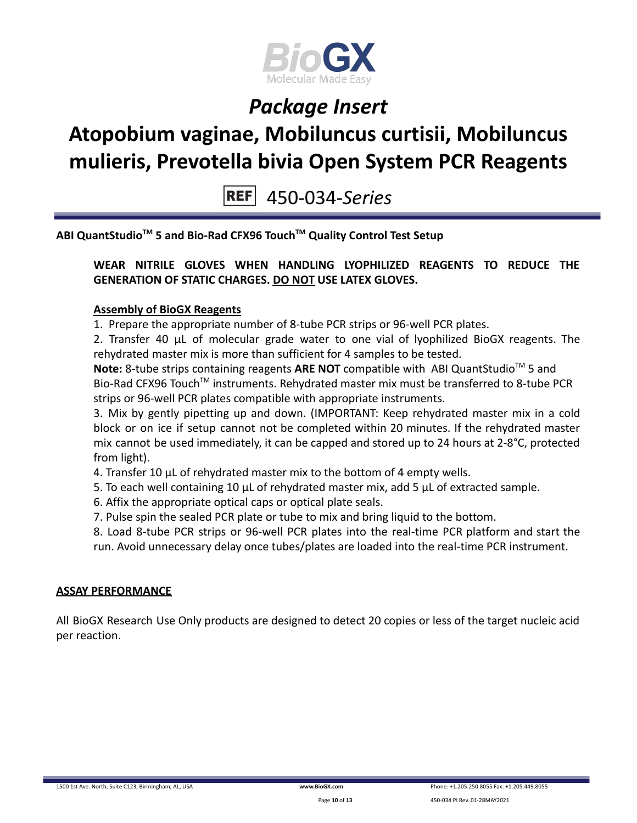

# **Atopobium vaginae, Mobiluncus curtisii, Mobiluncus mulieris, Prevotella bivia Open System PCR Reagents**

450-034-*Series*

**ABI QuantStudioTM 5 and Bio-Rad CFX96 TouchTM Quality Control Test Setup**

**WEAR NITRILE GLOVES WHEN HANDLING LYOPHILIZED REAGENTS TO REDUCE THE GENERATION OF STATIC CHARGES. DO NOT USE LATEX GLOVES.**

#### **Assembly of BioGX Reagents**

1. Prepare the appropriate number of 8-tube PCR strips or 96-well PCR plates.

2. Transfer 40 μL of molecular grade water to one vial of lyophilized BioGX reagents. The rehydrated master mix is more than sufficient for 4 samples to be tested.

Note: 8-tube strips containing reagents ARE NOT compatible with ABI QuantStudio<sup>™</sup> 5 and Bio-Rad CFX96 Touch<sup>™</sup> instruments. Rehydrated master mix must be transferred to 8-tube PCR strips or 96-well PCR plates compatible with appropriate instruments.

3. Mix by gently pipetting up and down. (IMPORTANT: Keep rehydrated master mix in a cold block or on ice if setup cannot not be completed within 20 minutes. If the rehydrated master mix cannot be used immediately, it can be capped and stored up to 24 hours at 2-8°C, protected from light).

- 4. Transfer 10 μL of rehydrated master mix to the bottom of 4 empty wells.
- 5. To each well containing 10 μL of rehydrated master mix, add 5 μL of extracted sample.
- 6. Affix the appropriate optical caps or optical plate seals.
- 7. Pulse spin the sealed PCR plate or tube to mix and bring liquid to the bottom.

8. Load 8-tube PCR strips or 96-well PCR plates into the real-time PCR platform and start the run. Avoid unnecessary delay once tubes/plates are loaded into the real-time PCR instrument.

#### **ASSAY PERFORMANCE**

All BioGX Research Use Only products are designed to detect 20 copies or less of the target nucleic acid per reaction.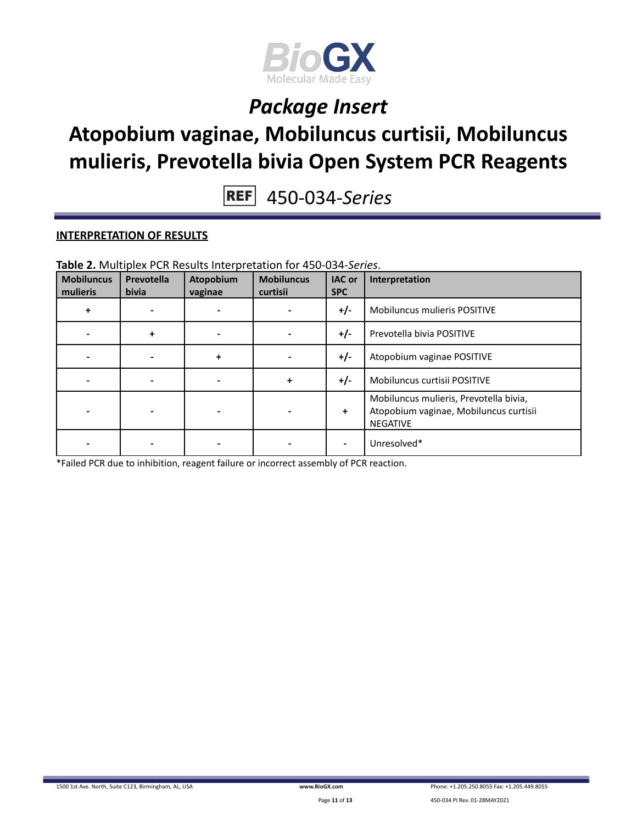

### **Atopobium vaginae, Mobiluncus curtisii, Mobiluncus mulieris, Prevotella bivia Open System PCR Reagents**

450-034-*Series*

#### **INTERPRETATION OF RESULTS**

| <b>Mobiluncus</b><br>mulieris | Prevotella<br><b>bivia</b> | Atopobium<br>vaginae | <b>Mobiluncus</b><br>curtisii | <b>IAC or</b><br><b>SPC</b> | Interpretation                                                                                      |
|-------------------------------|----------------------------|----------------------|-------------------------------|-----------------------------|-----------------------------------------------------------------------------------------------------|
| ÷                             |                            |                      |                               | $+/-$                       | Mobiluncus mulieris POSITIVE                                                                        |
|                               | $\ddot{}$                  |                      |                               | $+/-$                       | Prevotella bivia POSITIVE                                                                           |
|                               |                            | ÷                    |                               | $+/-$                       | Atopobium vaginae POSITIVE                                                                          |
|                               |                            |                      | +                             | $+/-$                       | Mobiluncus curtisii POSITIVE                                                                        |
|                               |                            |                      |                               | ÷                           | Mobiluncus mulieris, Prevotella bivia,<br>Atopobium vaginae, Mobiluncus curtisii<br><b>NEGATIVE</b> |
|                               |                            |                      |                               |                             | Unresolved*                                                                                         |

**Table 2.** Multiplex PCR Results Interpretation for 450-034-*Series*.

\*Failed PCR due to inhibition, reagent failure or incorrect assembly of PCR reaction.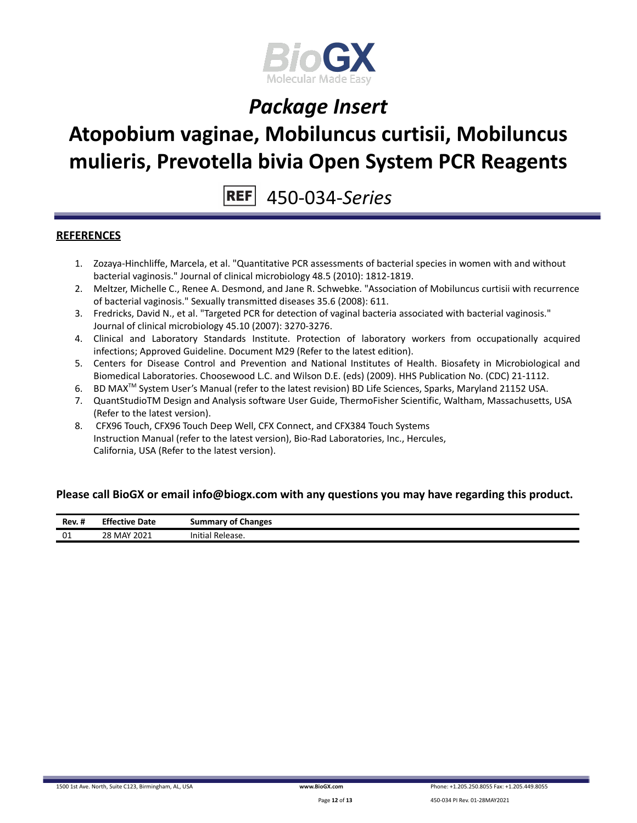

### **Atopobium vaginae, Mobiluncus curtisii, Mobiluncus mulieris, Prevotella bivia Open System PCR Reagents**

450-034-*Series*

#### **REFERENCES**

- 1. Zozaya-Hinchliffe, Marcela, et al. "Quantitative PCR assessments of bacterial species in women with and without bacterial vaginosis." Journal of clinical microbiology 48.5 (2010): 1812-1819.
- 2. Meltzer, Michelle C., Renee A. Desmond, and Jane R. Schwebke. "Association of Mobiluncus curtisii with recurrence of bacterial vaginosis." Sexually transmitted diseases 35.6 (2008): 611.
- 3. Fredricks, David N., et al. "Targeted PCR for detection of vaginal bacteria associated with bacterial vaginosis." Journal of clinical microbiology 45.10 (2007): 3270-3276.
- 4. Clinical and Laboratory Standards Institute. Protection of laboratory workers from occupationally acquired infections; Approved Guideline. Document M29 (Refer to the latest edition).
- 5. Centers for Disease Control and Prevention and National Institutes of Health. Biosafety in Microbiological and Biomedical Laboratories. Choosewood L.C. and Wilson D.E. (eds) (2009). HHS Publication No. (CDC) 21-1112.
- 6. BD MAX<sup>™</sup> System User's Manual (refer to the latest revision) BD Life Sciences, Sparks, Maryland 21152 USA.
- 7. QuantStudioTM Design and Analysis software User Guide, ThermoFisher Scientific, Waltham, Massachusetts, USA (Refer to the latest version).
- 8. CFX96 Touch, CFX96 Touch Deep Well, CFX Connect, and CFX384 Touch Systems Instruction Manual (refer to the latest version), Bio-Rad Laboratories, Inc., Hercules, California, USA (Refer to the latest version).

#### **Please call BioGX or email info@biogx.com with any questions you may have regarding this product.**

| Rev. # | <b>Effective Date</b><br>. | <b>Summary of Changes</b>       |
|--------|----------------------------|---------------------------------|
| 01     | MAY 2021 ו<br>ا 28         | $\cdots$<br>Release.<br>'nitiai |